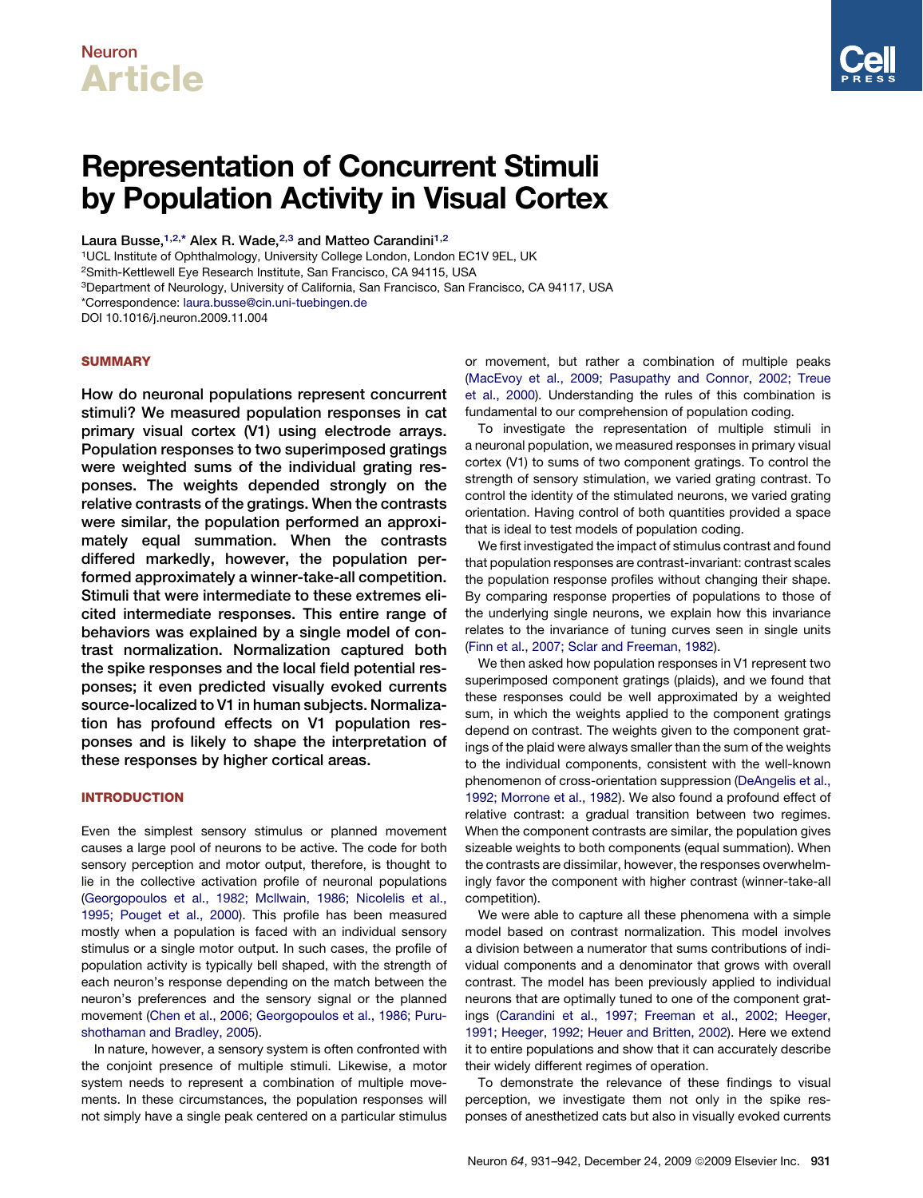# Neuron Article

# Representation of Concurrent Stimuli by Population Activity in Visual Cortex

Laura Busse,<sup>1,2,\*</sup> Alex R. Wade,<sup>2,3</sup> and Matteo Carandini<sup>1,2</sup>

1UCL Institute of Ophthalmology, University College London, London EC1V 9EL, UK

2Smith-Kettlewell Eye Research Institute, San Francisco, CA 94115, USA

3Department of Neurology, University of California, San Francisco, San Francisco, CA 94117, USA

\*Correspondence: [laura.busse@cin.uni-tuebingen.de](mailto:laura.busse@cin.uni-tuebingen.de)

DOI 10.1016/j.neuron.2009.11.004

# **SUMMARY**

How do neuronal populations represent concurrent stimuli? We measured population responses in cat primary visual cortex (V1) using electrode arrays. Population responses to two superimposed gratings were weighted sums of the individual grating responses. The weights depended strongly on the relative contrasts of the gratings. When the contrasts were similar, the population performed an approximately equal summation. When the contrasts differed markedly, however, the population performed approximately a winner-take-all competition. Stimuli that were intermediate to these extremes elicited intermediate responses. This entire range of behaviors was explained by a single model of contrast normalization. Normalization captured both the spike responses and the local field potential responses; it even predicted visually evoked currents source-localized to V1 in human subjects. Normalization has profound effects on V1 population responses and is likely to shape the interpretation of these responses by higher cortical areas.

# INTRODUCTION

Even the simplest sensory stimulus or planned movement causes a large pool of neurons to be active. The code for both sensory perception and motor output, therefore, is thought to lie in the collective activation profile of neuronal populations [\(Georgopoulos et al., 1982; Mcllwain, 1986; Nicolelis et al.,](#page-10-0) [1995; Pouget et al., 2000](#page-10-0)). This profile has been measured mostly when a population is faced with an individual sensory stimulus or a single motor output. In such cases, the profile of population activity is typically bell shaped, with the strength of each neuron's response depending on the match between the neuron's preferences and the sensory signal or the planned movement ([Chen et al., 2006; Georgopoulos et al., 1986; Puru](#page-10-0)[shothaman and Bradley, 2005\)](#page-10-0).

In nature, however, a sensory system is often confronted with the conjoint presence of multiple stimuli. Likewise, a motor system needs to represent a combination of multiple movements. In these circumstances, the population responses will not simply have a single peak centered on a particular stimulus

or movement, but rather a combination of multiple peaks [\(MacEvoy et al., 2009; Pasupathy and Connor, 2002; Treue](#page-10-0) [et al., 2000\)](#page-10-0). Understanding the rules of this combination is fundamental to our comprehension of population coding.

To investigate the representation of multiple stimuli in a neuronal population, we measured responses in primary visual cortex (V1) to sums of two component gratings. To control the strength of sensory stimulation, we varied grating contrast. To control the identity of the stimulated neurons, we varied grating orientation. Having control of both quantities provided a space that is ideal to test models of population coding.

We first investigated the impact of stimulus contrast and found that population responses are contrast-invariant: contrast scales the population response profiles without changing their shape. By comparing response properties of populations to those of the underlying single neurons, we explain how this invariance relates to the invariance of tuning curves seen in single units [\(Finn et al., 2007; Sclar and Freeman, 1982\)](#page-10-0).

We then asked how population responses in V1 represent two superimposed component gratings (plaids), and we found that these responses could be well approximated by a weighted sum, in which the weights applied to the component gratings depend on contrast. The weights given to the component gratings of the plaid were always smaller than the sum of the weights to the individual components, consistent with the well-known phenomenon of cross-orientation suppression [\(DeAngelis et al.,](#page-10-0) [1992; Morrone et al., 1982](#page-10-0)). We also found a profound effect of relative contrast: a gradual transition between two regimes. When the component contrasts are similar, the population gives sizeable weights to both components (equal summation). When the contrasts are dissimilar, however, the responses overwhelmingly favor the component with higher contrast (winner-take-all competition).

We were able to capture all these phenomena with a simple model based on contrast normalization. This model involves a division between a numerator that sums contributions of individual components and a denominator that grows with overall contrast. The model has been previously applied to individual neurons that are optimally tuned to one of the component gratings ([Carandini et al., 1997; Freeman et al., 2002; Heeger,](#page-10-0) [1991; Heeger, 1992; Heuer and Britten, 2002\)](#page-10-0). Here we extend it to entire populations and show that it can accurately describe their widely different regimes of operation.

To demonstrate the relevance of these findings to visual perception, we investigate them not only in the spike responses of anesthetized cats but also in visually evoked currents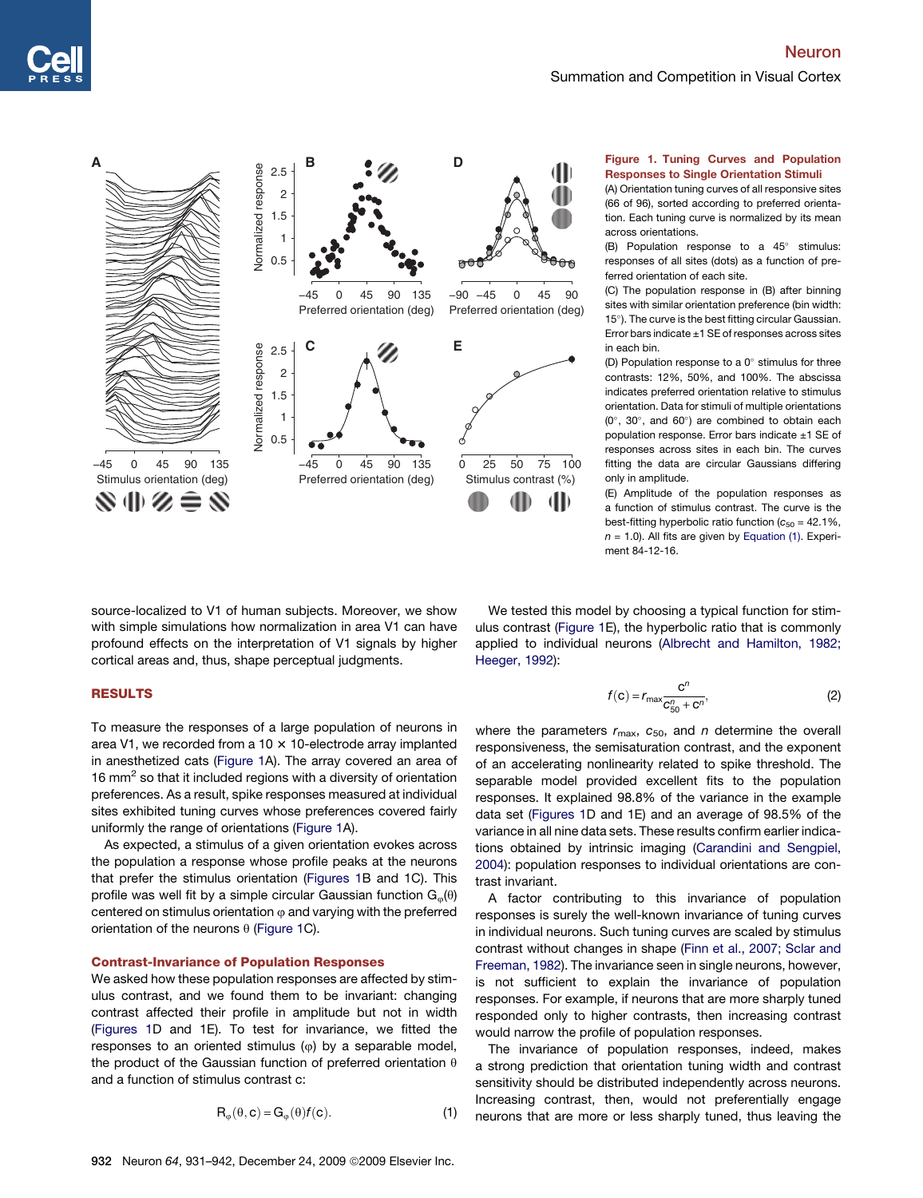<span id="page-1-0"></span>

# Figure 1. Tuning Curves and Population Responses to Single Orientation Stimuli

(A) Orientation tuning curves of all responsive sites (66 of 96), sorted according to preferred orientation. Each tuning curve is normalized by its mean across orientations.

(B) Population response to a  $45^\circ$  stimulus: responses of all sites (dots) as a function of preferred orientation of each site.

(C) The population response in (B) after binning sites with similar orientation preference (bin width: 15°). The curve is the best fitting circular Gaussian. Error bars indicate  $\pm 1$  SE of responses across sites in each bin.

(D) Population response to a  $0^\circ$  stimulus for three contrasts: 12%, 50%, and 100%. The abscissa indicates preferred orientation relative to stimulus orientation. Data for stimuli of multiple orientations  $(0^{\circ}, 30^{\circ},$  and  $60^{\circ})$  are combined to obtain each population response. Error bars indicate ±1 SE of responses across sites in each bin. The curves fitting the data are circular Gaussians differing only in amplitude.

(E) Amplitude of the population responses as a function of stimulus contrast. The curve is the best-fitting hyperbolic ratio function ( $c_{50}$  = 42.1%, *n* = 1.0). All fits are given by Equation (1). Experiment 84-12-16.

source-localized to V1 of human subjects. Moreover, we show with simple simulations how normalization in area V1 can have profound effects on the interpretation of V1 signals by higher cortical areas and, thus, shape perceptual judgments.

## RESULTS

To measure the responses of a large population of neurons in area V1, we recorded from a 10  $\times$  10-electrode array implanted in anesthetized cats (Figure 1A). The array covered an area of 16 mm<sup>2</sup> so that it included regions with a diversity of orientation preferences. As a result, spike responses measured at individual sites exhibited tuning curves whose preferences covered fairly uniformly the range of orientations (Figure 1A).

As expected, a stimulus of a given orientation evokes across the population a response whose profile peaks at the neurons that prefer the stimulus orientation (Figures 1B and 1C). This profile was well fit by a simple circular Gaussian function  $G_{\varphi}(\theta)$ centered on stimulus orientation  $\varphi$  and varying with the preferred orientation of the neurons  $\theta$  (Figure 1C).

## Contrast-Invariance of Population Responses

We asked how these population responses are affected by stimulus contrast, and we found them to be invariant: changing contrast affected their profile in amplitude but not in width (Figures 1D and 1E). To test for invariance, we fitted the responses to an oriented stimulus  $(\varphi)$  by a separable model, the product of the Gaussian function of preferred orientation  $\theta$ and a function of stimulus contrast c:

932 Neuron 64, 931-942, December 24, 2009 © 2009 Elsevier Inc.

$$
\mathsf{R}_{\varphi}(\theta, \mathbf{c}) = \mathsf{G}_{\varphi}(\theta) f(\mathbf{c}). \tag{1}
$$

We tested this model by choosing a typical function for stimulus contrast (Figure 1E), the hyperbolic ratio that is commonly applied to individual neurons ([Albrecht and Hamilton, 1982;](#page-10-0) [Heeger, 1992\)](#page-10-0):

$$
f(\mathbf{c}) = r_{\max} \frac{\mathbf{c}^n}{C_{50}^n + \mathbf{c}^n},\tag{2}
$$

where the parameters  $r_{\text{max}}$ ,  $c_{50}$ , and *n* determine the overall responsiveness, the semisaturation contrast, and the exponent of an accelerating nonlinearity related to spike threshold. The separable model provided excellent fits to the population responses. It explained 98.8% of the variance in the example data set (Figures 1D and 1E) and an average of 98.5% of the variance in all nine data sets. These results confirm earlier indications obtained by intrinsic imaging [\(Carandini and Sengpiel,](#page-10-0) [2004\)](#page-10-0): population responses to individual orientations are contrast invariant.

A factor contributing to this invariance of population responses is surely the well-known invariance of tuning curves in individual neurons. Such tuning curves are scaled by stimulus contrast without changes in shape [\(Finn et al., 2007; Sclar and](#page-10-0) [Freeman, 1982\)](#page-10-0). The invariance seen in single neurons, however, is not sufficient to explain the invariance of population responses. For example, if neurons that are more sharply tuned responded only to higher contrasts, then increasing contrast would narrow the profile of population responses.

The invariance of population responses, indeed, makes a strong prediction that orientation tuning width and contrast sensitivity should be distributed independently across neurons. Increasing contrast, then, would not preferentially engage neurons that are more or less sharply tuned, thus leaving the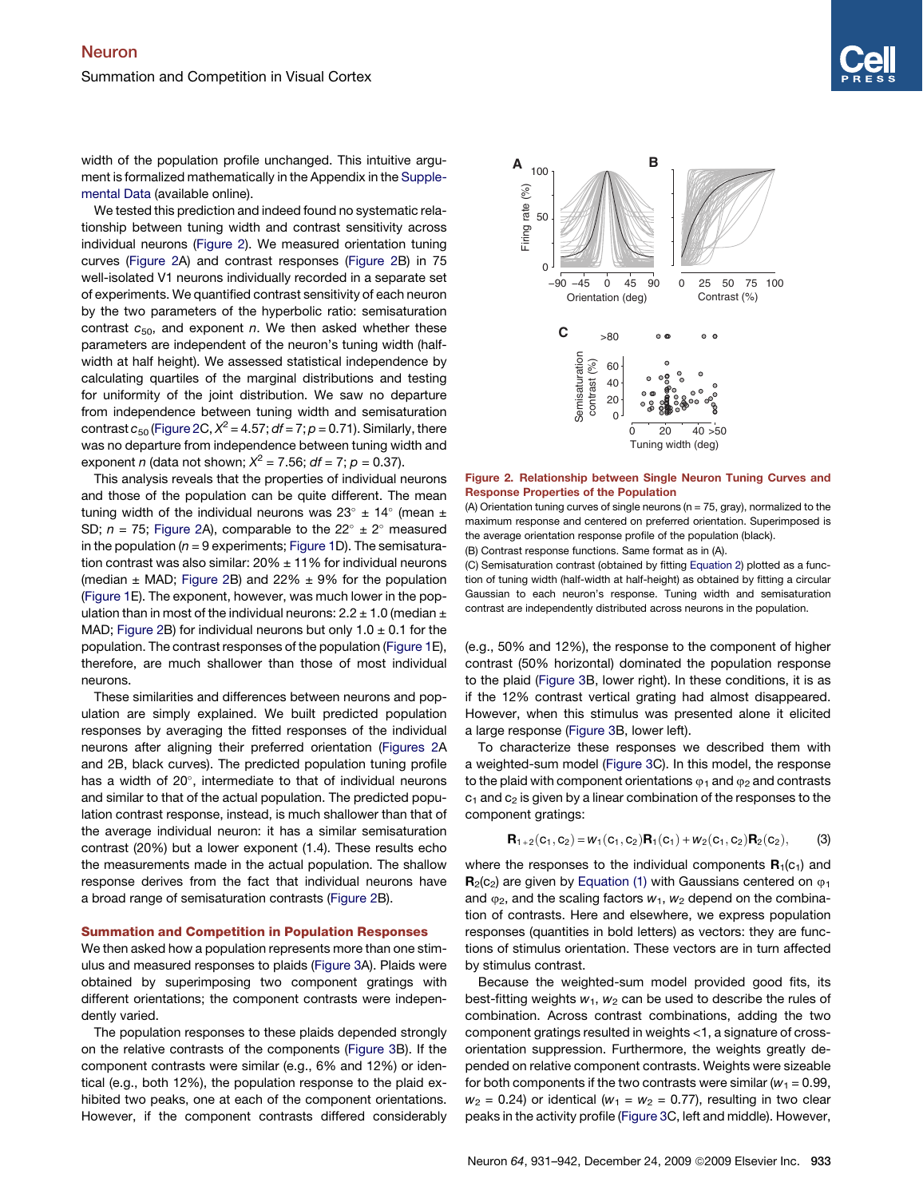<span id="page-2-0"></span>width of the population profile unchanged. This intuitive argument is formalized mathematically in the Appendix in the [Supple](#page-10-0)[mental Data](#page-10-0) (available online).

We tested this prediction and indeed found no systematic relationship between tuning width and contrast sensitivity across individual neurons (Figure 2). We measured orientation tuning curves (Figure 2A) and contrast responses (Figure 2B) in 75 well-isolated V1 neurons individually recorded in a separate set of experiments. We quantified contrast sensitivity of each neuron by the two parameters of the hyperbolic ratio: semisaturation contrast  $c_{50}$ , and exponent *n*. We then asked whether these parameters are independent of the neuron's tuning width (halfwidth at half height). We assessed statistical independence by calculating quartiles of the marginal distributions and testing for uniformity of the joint distribution. We saw no departure from independence between tuning width and semisaturation contrast  $c_{50}$  (Figure 2C,  $X^2 = 4.57$ ;  $df = 7$ ;  $p = 0.71$ ). Similarly, there was no departure from independence between tuning width and exponent *n* (data not shown;  $X^2 = 7.56$ ;  $df = 7$ ;  $p = 0.37$ ).

This analysis reveals that the properties of individual neurons and those of the population can be quite different. The mean tuning width of the individual neurons was 23 $^{\circ}$  ± 14 $^{\circ}$  (mean ± SD;  $n = 75$ ; Figure 2A), comparable to the  $22^{\circ} \pm 2^{\circ}$  measured in the population ( $n = 9$  experiments; [Figure 1](#page-1-0)D). The semisaturation contrast was also similar:  $20\% \pm 11\%$  for individual neurons (median  $\pm$  MAD; Figure 2B) and 22%  $\pm$  9% for the population [\(Figure 1](#page-1-0)E). The exponent, however, was much lower in the population than in most of the individual neurons:  $2.2 \pm 1.0$  (median  $\pm$ MAD; Figure 2B) for individual neurons but only  $1.0 \pm 0.1$  for the population. The contrast responses of the population ([Figure 1](#page-1-0)E), therefore, are much shallower than those of most individual neurons.

These similarities and differences between neurons and population are simply explained. We built predicted population responses by averaging the fitted responses of the individual neurons after aligning their preferred orientation (Figures 2A and 2B, black curves). The predicted population tuning profile has a width of 20°, intermediate to that of individual neurons and similar to that of the actual population. The predicted population contrast response, instead, is much shallower than that of the average individual neuron: it has a similar semisaturation contrast (20%) but a lower exponent (1.4). These results echo the measurements made in the actual population. The shallow response derives from the fact that individual neurons have a broad range of semisaturation contrasts (Figure 2B).

### Summation and Competition in Population Responses

We then asked how a population represents more than one stimulus and measured responses to plaids ([Figure 3](#page-3-0)A). Plaids were obtained by superimposing two component gratings with different orientations; the component contrasts were independently varied.

The population responses to these plaids depended strongly on the relative contrasts of the components ([Figure 3B](#page-3-0)). If the component contrasts were similar (e.g., 6% and 12%) or identical (e.g., both 12%), the population response to the plaid exhibited two peaks, one at each of the component orientations. However, if the component contrasts differed considerably



Figure 2. Relationship between Single Neuron Tuning Curves and Response Properties of the Population

(A) Orientation tuning curves of single neurons (n = 75, gray), normalized to the maximum response and centered on preferred orientation. Superimposed is the average orientation response profile of the population (black). (B) Contrast response functions. Same format as in (A).

(C) Semisaturation contrast (obtained by fitting [Equation 2](#page-1-0)) plotted as a func-

tion of tuning width (half-width at half-height) as obtained by fitting a circular Gaussian to each neuron's response. Tuning width and semisaturation contrast are independently distributed across neurons in the population.

(e.g., 50% and 12%), the response to the component of higher contrast (50% horizontal) dominated the population response to the plaid [\(Figure 3](#page-3-0)B, lower right). In these conditions, it is as if the 12% contrast vertical grating had almost disappeared. However, when this stimulus was presented alone it elicited a large response ([Figure 3](#page-3-0)B, lower left).

To characterize these responses we described them with a weighted-sum model [\(Figure 3C](#page-3-0)). In this model, the response to the plaid with component orientations  $\varphi_1$  and  $\varphi_2$  and contrasts  $c_1$  and  $c_2$  is given by a linear combination of the responses to the component gratings:

$$
\mathbf{R}_{1+2}(\mathbf{C}_1, \mathbf{C}_2) = W_1(\mathbf{C}_1, \mathbf{C}_2) \mathbf{R}_1(\mathbf{C}_1) + W_2(\mathbf{C}_1, \mathbf{C}_2) \mathbf{R}_2(\mathbf{C}_2),
$$
 (3)

where the responses to the individual components  $\mathbf{R}_1(c_1)$  and  $\mathbf{R}_{2}(\mathbf{c}_{2})$  are given by [Equation \(1\)](#page-1-0) with Gaussians centered on  $\varphi_{1}$ and  $\varphi_2$ , and the scaling factors  $w_1$ ,  $w_2$  depend on the combination of contrasts. Here and elsewhere, we express population responses (quantities in bold letters) as vectors: they are functions of stimulus orientation. These vectors are in turn affected by stimulus contrast.

Because the weighted-sum model provided good fits, its best-fitting weights  $w_1$ ,  $w_2$  can be used to describe the rules of combination. Across contrast combinations, adding the two component gratings resulted in weights <1, a signature of crossorientation suppression. Furthermore, the weights greatly depended on relative component contrasts. Weights were sizeable for both components if the two contrasts were similar  $(w_1 = 0.99, ...)$  $w_2$  = 0.24) or identical ( $w_1$  =  $w_2$  = 0.77), resulting in two clear peaks in the activity profile [\(Figure 3](#page-3-0)C, left and middle). However,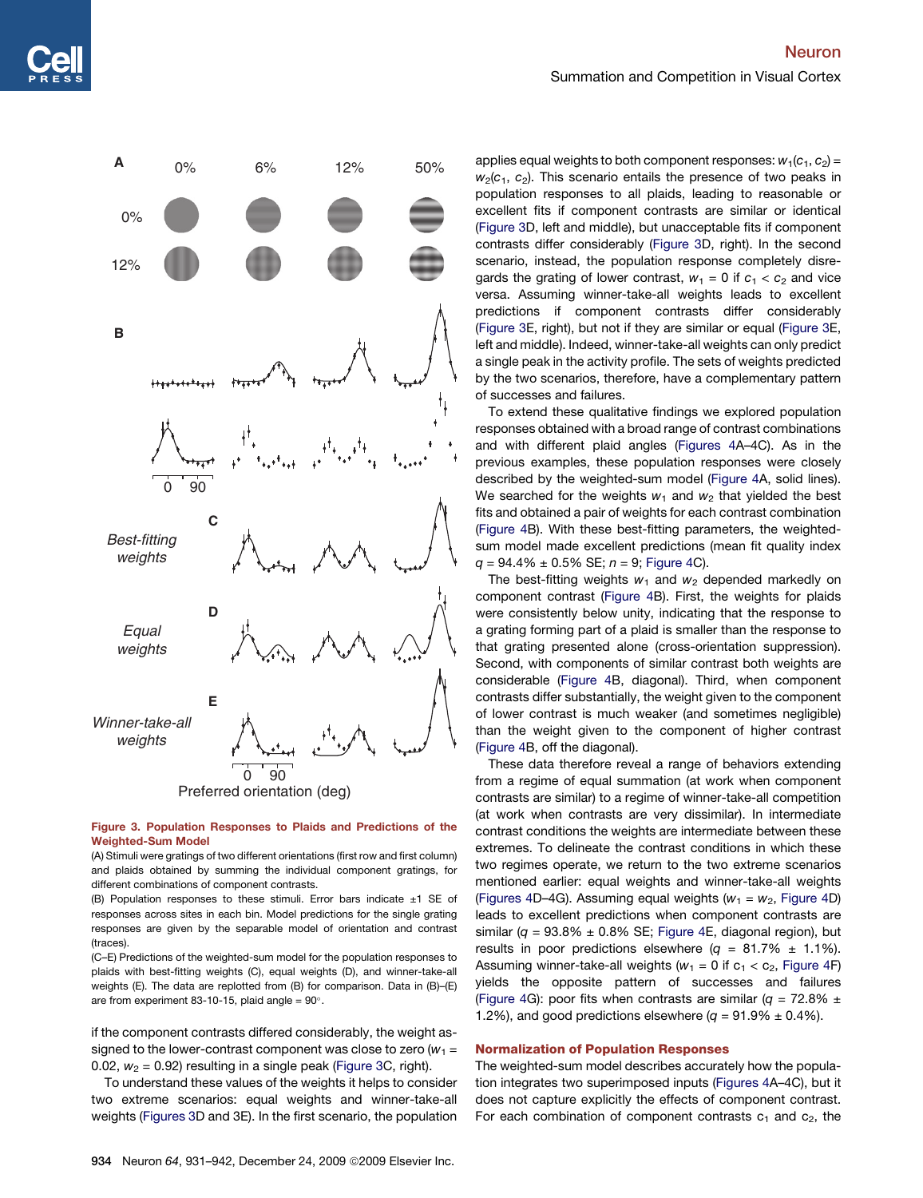<span id="page-3-0"></span>

# Figure 3. Population Responses to Plaids and Predictions of the Weighted-Sum Model

(A) Stimuli were gratings of two different orientations (first row and first column) and plaids obtained by summing the individual component gratings, for different combinations of component contrasts.

(B) Population responses to these stimuli. Error bars indicate  $\pm 1$  SE of responses across sites in each bin. Model predictions for the single grating responses are given by the separable model of orientation and contrast (traces).

(C–E) Predictions of the weighted-sum model for the population responses to plaids with best-fitting weights (C), equal weights (D), and winner-take-all weights (E). The data are replotted from (B) for comparison. Data in (B)–(E) are from experiment 83-10-15, plaid angle =  $90^{\circ}$ .

if the component contrasts differed considerably, the weight assigned to the lower-contrast component was close to zero ( $w_1 =$ 0.02,  $w_2$  = 0.92) resulting in a single peak (Figure 3C, right).

To understand these values of the weights it helps to consider two extreme scenarios: equal weights and winner-take-all weights (Figures 3D and 3E). In the first scenario, the population

applies equal weights to both component responses:  $w_1(c_1, c_2)$  =  $w_2(c_1, c_2)$ . This scenario entails the presence of two peaks in population responses to all plaids, leading to reasonable or excellent fits if component contrasts are similar or identical (Figure 3D, left and middle), but unacceptable fits if component contrasts differ considerably (Figure 3D, right). In the second scenario, instead, the population response completely disregards the grating of lower contrast,  $w_1 = 0$  if  $c_1 < c_2$  and vice versa. Assuming winner-take-all weights leads to excellent predictions if component contrasts differ considerably (Figure 3E, right), but not if they are similar or equal (Figure 3E, left and middle). Indeed, winner-take-all weights can only predict a single peak in the activity profile. The sets of weights predicted by the two scenarios, therefore, have a complementary pattern of successes and failures.

To extend these qualitative findings we explored population responses obtained with a broad range of contrast combinations and with different plaid angles [\(Figures 4](#page-4-0)A–4C). As in the previous examples, these population responses were closely described by the weighted-sum model ([Figure 4](#page-4-0)A, solid lines). We searched for the weights  $w_1$  and  $w_2$  that yielded the best fits and obtained a pair of weights for each contrast combination [\(Figure 4B](#page-4-0)). With these best-fitting parameters, the weightedsum model made excellent predictions (mean fit quality index *q* = 94.4% ± 0.5% SE; *n* = 9; [Figure 4](#page-4-0)C).

The best-fitting weights  $w_1$  and  $w_2$  depended markedly on component contrast [\(Figure 4](#page-4-0)B). First, the weights for plaids were consistently below unity, indicating that the response to a grating forming part of a plaid is smaller than the response to that grating presented alone (cross-orientation suppression). Second, with components of similar contrast both weights are considerable ([Figure 4B](#page-4-0), diagonal). Third, when component contrasts differ substantially, the weight given to the component of lower contrast is much weaker (and sometimes negligible) than the weight given to the component of higher contrast [\(Figure 4B](#page-4-0), off the diagonal).

These data therefore reveal a range of behaviors extending from a regime of equal summation (at work when component contrasts are similar) to a regime of winner-take-all competition (at work when contrasts are very dissimilar). In intermediate contrast conditions the weights are intermediate between these extremes. To delineate the contrast conditions in which these two regimes operate, we return to the two extreme scenarios mentioned earlier: equal weights and winner-take-all weights [\(Figures 4](#page-4-0)D–4G). Assuming equal weights ( $w_1 = w_2$ , [Figure 4D](#page-4-0)) leads to excellent predictions when component contrasts are similar ( $q = 93.8\% \pm 0.8\%$  SE; [Figure 4](#page-4-0)E, diagonal region), but results in poor predictions elsewhere  $(q = 81.7\% \pm 1.1\%).$ Assuming winner-take-all weights ( $w_1 = 0$  if  $c_1 < c_2$ , [Figure 4F](#page-4-0)) yields the opposite pattern of successes and failures [\(Figure 4](#page-4-0)G): poor fits when contrasts are similar ( $q = 72.8\% \pm$ 1.2%), and good predictions elsewhere  $(q = 91.9\% \pm 0.4\%).$ 

## Normalization of Population Responses

The weighted-sum model describes accurately how the population integrates two superimposed inputs [\(Figures 4](#page-4-0)A–4C), but it does not capture explicitly the effects of component contrast. For each combination of component contrasts  $c_1$  and  $c_2$ , the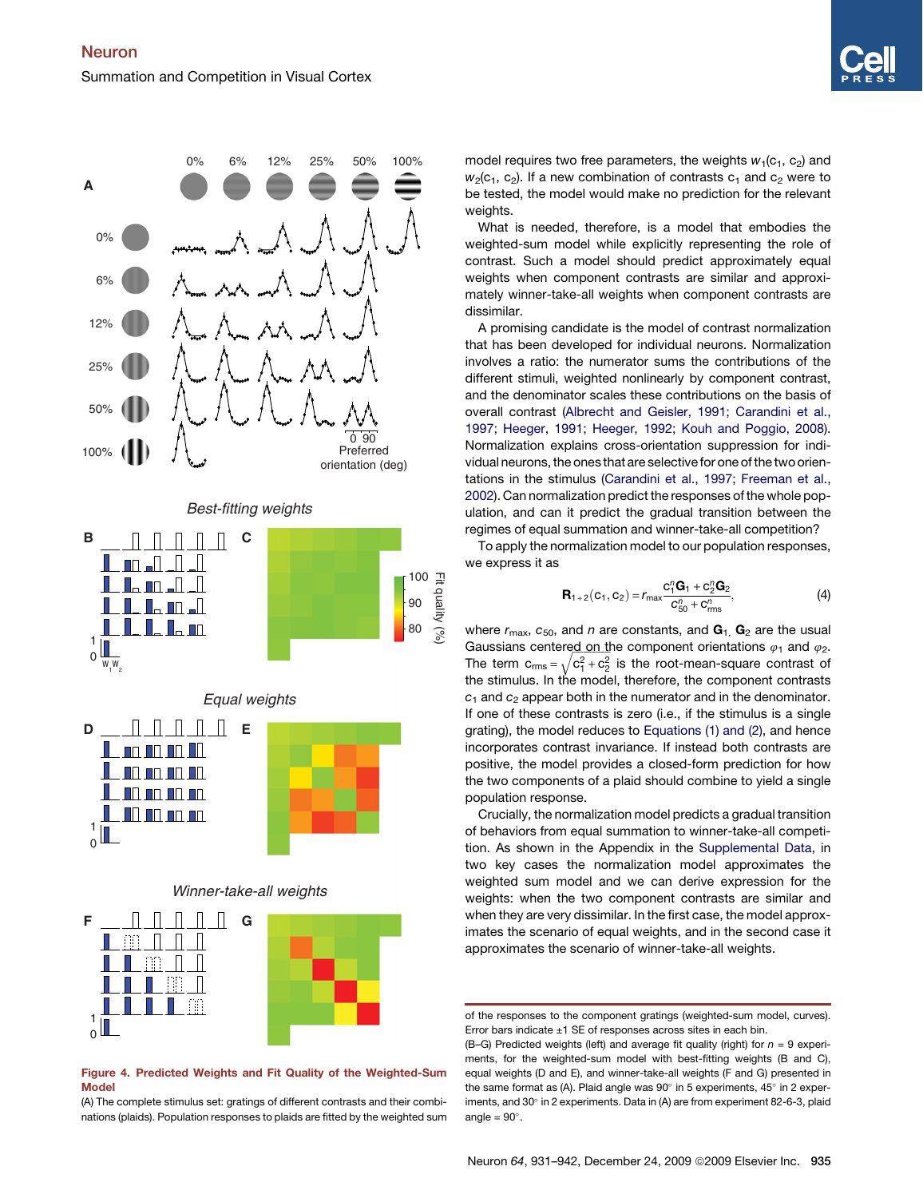<span id="page-4-0"></span>

## Figure 4. Predicted Weights and Fit Quality of the Weighted-Sum Model

(A) The complete stimulus set: gratings of different contrasts and their combinations (plaids). Population responses to plaids are fitted by the weighted sum model requires two free parameters, the weights  $w_1(c_1, c_2)$  and  $w_2(c_1, c_2)$ . If a new combination of contrasts  $c_1$  and  $c_2$  were to be tested, the model would make no prediction for the relevant weights.

What is needed, therefore, is a model that embodies the weighted-sum model while explicitly representing the role of contrast. Such a model should predict approximately equal weights when component contrasts are similar and approximately winner-take-all weights when component contrasts are dissimilar.

A promising candidate is the model of contrast normalization that has been developed for individual neurons. Normalization involves a ratio: the numerator sums the contributions of the different stimuli, weighted nonlinearly by component contrast, and the denominator scales these contributions on the basis of overall contrast ([Albrecht and Geisler, 1991; Carandini et al.,](#page-10-0) [1997; Heeger, 1991; Heeger, 1992; Kouh and Poggio, 2008\)](#page-10-0). Normalization explains cross-orientation suppression for individual neurons, the ones that are selectivefor one of the two orientations in the stimulus [\(Carandini et al., 1997; Freeman et al.,](#page-10-0) [2002\)](#page-10-0). Can normalization predict the responses of the whole population, and can it predict the gradual transition between the regimes of equal summation and winner-take-all competition?

To apply the normalization model to our population responses, we express it as

$$
\mathbf{R}_{1+2}(\mathbf{C}_1, \mathbf{C}_2) = r_{\text{max}} \frac{\mathbf{C}_1^T \mathbf{G}_1 + \mathbf{C}_2^T \mathbf{G}_2}{\mathbf{C}_{50}^T + \mathbf{C}_{\text{rms}}^T},
$$
(4)

where  $r_{\text{max}}$ ,  $c_{50}$ , and  $n$  are constants, and  $\mathbf{G}_1$ ,  $\mathbf{G}_2$  are the usual Gaussians centered on the component orientations  $\varphi_1$  and  $\varphi_2$ . The term  ${\sf c}_{\sf rms}$  =  $\sqrt{{\sf c}_{1}^2+{\sf c}_{2}^2}$  is the root-mean-square contrast of the stimulus. In the model, therefore, the component contrasts  $c_1$  and  $c_2$  appear both in the numerator and in the denominator. If one of these contrasts is zero (i.e., if the stimulus is a single grating), the model reduces to [Equations \(1\) and \(2\),](#page-1-0) and hence incorporates contrast invariance. If instead both contrasts are positive, the model provides a closed-form prediction for how the two components of a plaid should combine to yield a single population response.

Crucially, the normalization model predicts a gradual transition of behaviors from equal summation to winner-take-all competition. As shown in the Appendix in the [Supplemental Data,](#page-10-0) in two key cases the normalization model approximates the weighted sum model and we can derive expression for the weights: when the two component contrasts are similar and when they are very dissimilar. In the first case, the model approximates the scenario of equal weights, and in the second case it approximates the scenario of winner-take-all weights.

of the responses to the component gratings (weighted-sum model, curves). Error bars indicate  $\pm 1$  SE of responses across sites in each bin.

<sup>(</sup>B–G) Predicted weights (left) and average fit quality (right) for *n* = 9 experiments, for the weighted-sum model with best-fitting weights (B and C), equal weights (D and E), and winner-take-all weights (F and G) presented in the same format as (A). Plaid angle was  $90^{\circ}$  in 5 experiments, 45 $^{\circ}$  in 2 experiments, and 30° in 2 experiments. Data in (A) are from experiment 82-6-3, plaid angle  $= 90^\circ$ .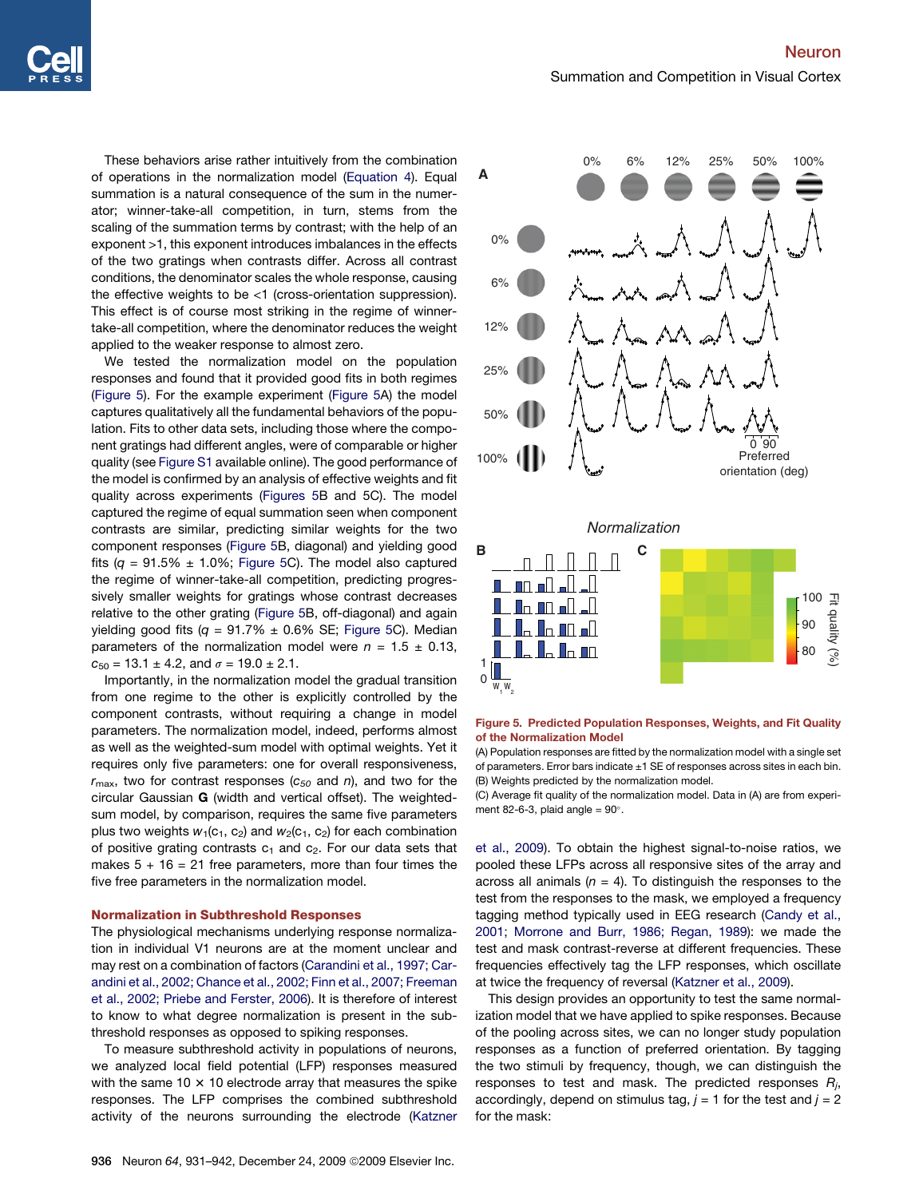<span id="page-5-0"></span>These behaviors arise rather intuitively from the combination of operations in the normalization model ([Equation 4\)](#page-4-0). Equal summation is a natural consequence of the sum in the numerator; winner-take-all competition, in turn, stems from the scaling of the summation terms by contrast; with the help of an exponent >1, this exponent introduces imbalances in the effects of the two gratings when contrasts differ. Across all contrast conditions, the denominator scales the whole response, causing the effective weights to be  $\leq 1$  (cross-orientation suppression). This effect is of course most striking in the regime of winnertake-all competition, where the denominator reduces the weight applied to the weaker response to almost zero.

We tested the normalization model on the population responses and found that it provided good fits in both regimes (Figure 5). For the example experiment (Figure 5A) the model captures qualitatively all the fundamental behaviors of the population. Fits to other data sets, including those where the component gratings had different angles, were of comparable or higher quality (see [Figure S1](#page-10-0) available online). The good performance of the model is confirmed by an analysis of effective weights and fit quality across experiments (Figures 5B and 5C). The model captured the regime of equal summation seen when component contrasts are similar, predicting similar weights for the two component responses (Figure 5B, diagonal) and yielding good fits  $(q = 91.5\% \pm 1.0\%$ ; Figure 5C). The model also captured the regime of winner-take-all competition, predicting progressively smaller weights for gratings whose contrast decreases relative to the other grating (Figure 5B, off-diagonal) and again yielding good fits  $(q = 91.7\% \pm 0.6\% \text{ SE}$ ; Figure 5C). Median parameters of the normalization model were  $n = 1.5 \pm 0.13$ ,  $c_{50} = 13.1 \pm 4.2$ , and  $\sigma = 19.0 \pm 2.1$ .

Importantly, in the normalization model the gradual transition from one regime to the other is explicitly controlled by the component contrasts, without requiring a change in model parameters. The normalization model, indeed, performs almost as well as the weighted-sum model with optimal weights. Yet it requires only five parameters: one for overall responsiveness,  $r_{\text{max}}$ , two for contrast responses ( $c_{50}$  and  $n$ ), and two for the circular Gaussian G (width and vertical offset). The weightedsum model, by comparison, requires the same five parameters plus two weights  $w_1(c_1, c_2)$  and  $w_2(c_1, c_2)$  for each combination of positive grating contrasts  $c_1$  and  $c_2$ . For our data sets that makes  $5 + 16 = 21$  free parameters, more than four times the five free parameters in the normalization model.

# Normalization in Subthreshold Responses

The physiological mechanisms underlying response normalization in individual V1 neurons are at the moment unclear and may rest on a combination of factors [\(Carandini et al., 1997; Car](#page-10-0)[andini et al., 2002; Chance et al., 2002; Finn et al., 2007; Freeman](#page-10-0) [et al., 2002; Priebe and Ferster, 2006](#page-10-0)). It is therefore of interest to know to what degree normalization is present in the subthreshold responses as opposed to spiking responses.

To measure subthreshold activity in populations of neurons, we analyzed local field potential (LFP) responses measured with the same 10  $\times$  10 electrode array that measures the spike responses. The LFP comprises the combined subthreshold activity of the neurons surrounding the electrode ([Katzner](#page-10-0)



## Figure 5. Predicted Population Responses, Weights, and Fit Quality of the Normalization Model

(A) Population responses are fitted by the normalization model with a single set of parameters. Error bars indicate  $\pm 1$  SE of responses across sites in each bin. (B) Weights predicted by the normalization model.

(C) Average fit quality of the normalization model. Data in (A) are from experiment 82-6-3, plaid angle  $= 90^\circ$ .

[et al., 2009\)](#page-10-0). To obtain the highest signal-to-noise ratios, we pooled these LFPs across all responsive sites of the array and across all animals  $(n = 4)$ . To distinguish the responses to the test from the responses to the mask, we employed a frequency tagging method typically used in EEG research [\(Candy et al.,](#page-10-0) [2001; Morrone and Burr, 1986; Regan, 1989](#page-10-0)): we made the test and mask contrast-reverse at different frequencies. These frequencies effectively tag the LFP responses, which oscillate at twice the frequency of reversal [\(Katzner et al., 2009\)](#page-10-0).

This design provides an opportunity to test the same normalization model that we have applied to spike responses. Because of the pooling across sites, we can no longer study population responses as a function of preferred orientation. By tagging the two stimuli by frequency, though, we can distinguish the responses to test and mask. The predicted responses *Rj* , accordingly, depend on stimulus tag,  $j = 1$  for the test and  $j = 2$ for the mask: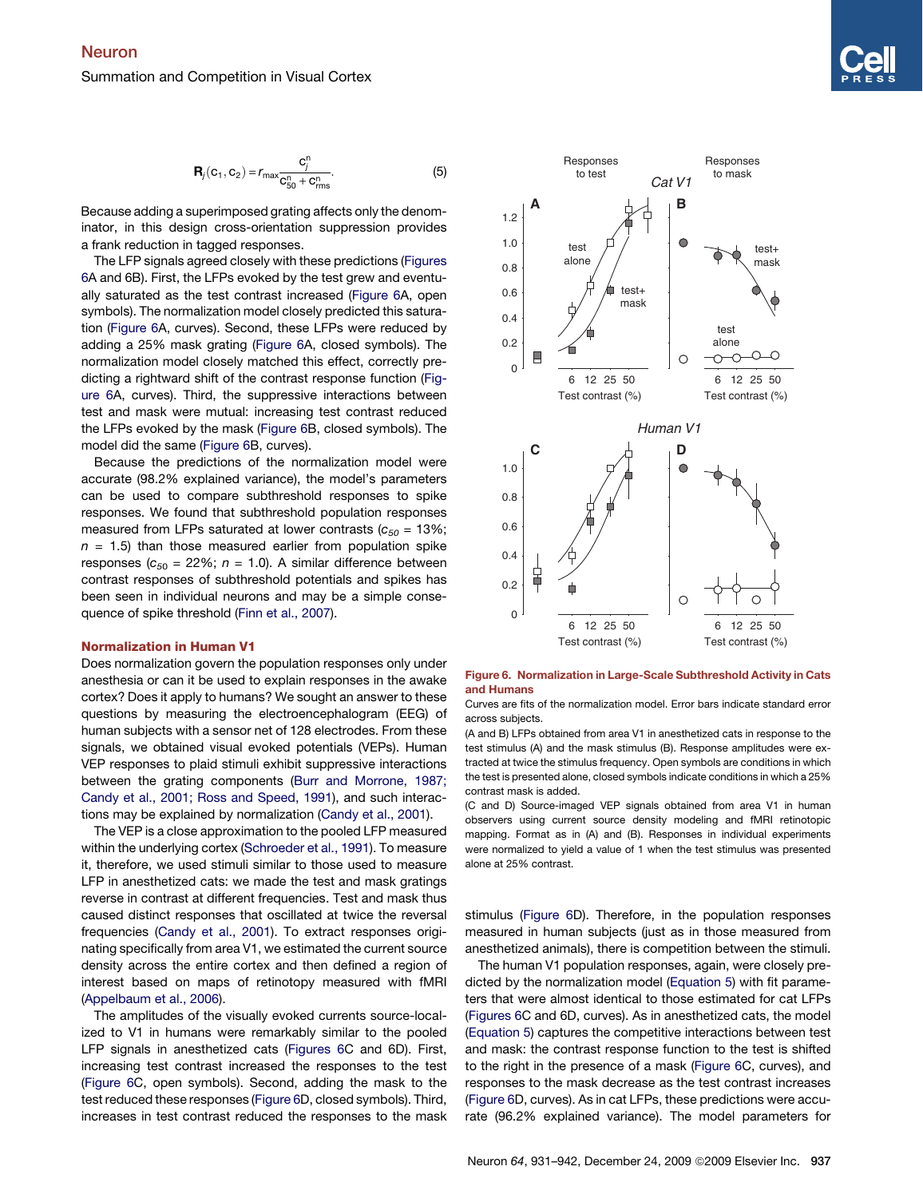$$
\mathbf{R}_{j}(\mathbf{C}_{1}, \mathbf{C}_{2}) = r_{\max} \frac{\mathbf{C}_{j}^{n}}{\mathbf{C}_{50}^{n} + \mathbf{C}_{\max}^{n}}.
$$
 (5)

Because adding a superimposed grating affects only the denominator, in this design cross-orientation suppression provides a frank reduction in tagged responses.

The LFP signals agreed closely with these predictions (Figures 6A and 6B). First, the LFPs evoked by the test grew and eventually saturated as the test contrast increased (Figure 6A, open symbols). The normalization model closely predicted this saturation (Figure 6A, curves). Second, these LFPs were reduced by adding a 25% mask grating (Figure 6A, closed symbols). The normalization model closely matched this effect, correctly predicting a rightward shift of the contrast response function (Figure 6A, curves). Third, the suppressive interactions between test and mask were mutual: increasing test contrast reduced the LFPs evoked by the mask (Figure 6B, closed symbols). The model did the same (Figure 6B, curves).

Because the predictions of the normalization model were accurate (98.2% explained variance), the model's parameters can be used to compare subthreshold responses to spike responses. We found that subthreshold population responses measured from LFPs saturated at lower contrasts  $(c_{50} = 13\%;$  $n = 1.5$ ) than those measured earlier from population spike responses  $(c_{50} = 22\%; n = 1.0)$ . A similar difference between contrast responses of subthreshold potentials and spikes has been seen in individual neurons and may be a simple consequence of spike threshold ([Finn et al., 2007](#page-10-0)).

## Normalization in Human V1

Does normalization govern the population responses only under anesthesia or can it be used to explain responses in the awake cortex? Does it apply to humans? We sought an answer to these questions by measuring the electroencephalogram (EEG) of human subjects with a sensor net of 128 electrodes. From these signals, we obtained visual evoked potentials (VEPs). Human VEP responses to plaid stimuli exhibit suppressive interactions between the grating components [\(Burr and Morrone, 1987;](#page-10-0) [Candy et al., 2001; Ross and Speed, 1991](#page-10-0)), and such interactions may be explained by normalization ([Candy et al., 2001\)](#page-10-0).

The VEP is a close approximation to the pooled LFP measured within the underlying cortex ([Schroeder et al., 1991\)](#page-11-0). To measure it, therefore, we used stimuli similar to those used to measure LFP in anesthetized cats: we made the test and mask gratings reverse in contrast at different frequencies. Test and mask thus caused distinct responses that oscillated at twice the reversal frequencies [\(Candy et al., 2001](#page-10-0)). To extract responses originating specifically from area V1, we estimated the current source density across the entire cortex and then defined a region of interest based on maps of retinotopy measured with fMRI [\(Appelbaum et al., 2006](#page-10-0)).

The amplitudes of the visually evoked currents source-localized to V1 in humans were remarkably similar to the pooled LFP signals in anesthetized cats (Figures 6C and 6D). First, increasing test contrast increased the responses to the test (Figure 6C, open symbols). Second, adding the mask to the test reduced these responses (Figure 6D, closed symbols). Third, increases in test contrast reduced the responses to the mask



Figure 6. Normalization in Large-Scale Subthreshold Activity in Cats and Humans

Curves are fits of the normalization model. Error bars indicate standard error across subjects.

(A and B) LFPs obtained from area V1 in anesthetized cats in response to the test stimulus (A) and the mask stimulus (B). Response amplitudes were extracted at twice the stimulus frequency. Open symbols are conditions in which the test is presented alone, closed symbols indicate conditions in which a 25% contrast mask is added.

(C and D) Source-imaged VEP signals obtained from area V1 in human observers using current source density modeling and fMRI retinotopic mapping. Format as in (A) and (B). Responses in individual experiments were normalized to yield a value of 1 when the test stimulus was presented alone at 25% contrast.

stimulus (Figure 6D). Therefore, in the population responses measured in human subjects (just as in those measured from anesthetized animals), there is competition between the stimuli.

The human V1 population responses, again, were closely predicted by the normalization model ([Equation 5\)](#page-5-0) with fit parameters that were almost identical to those estimated for cat LFPs (Figures 6C and 6D, curves). As in anesthetized cats, the model [\(Equation 5\)](#page-5-0) captures the competitive interactions between test and mask: the contrast response function to the test is shifted to the right in the presence of a mask (Figure 6C, curves), and responses to the mask decrease as the test contrast increases (Figure 6D, curves). As in cat LFPs, these predictions were accurate (96.2% explained variance). The model parameters for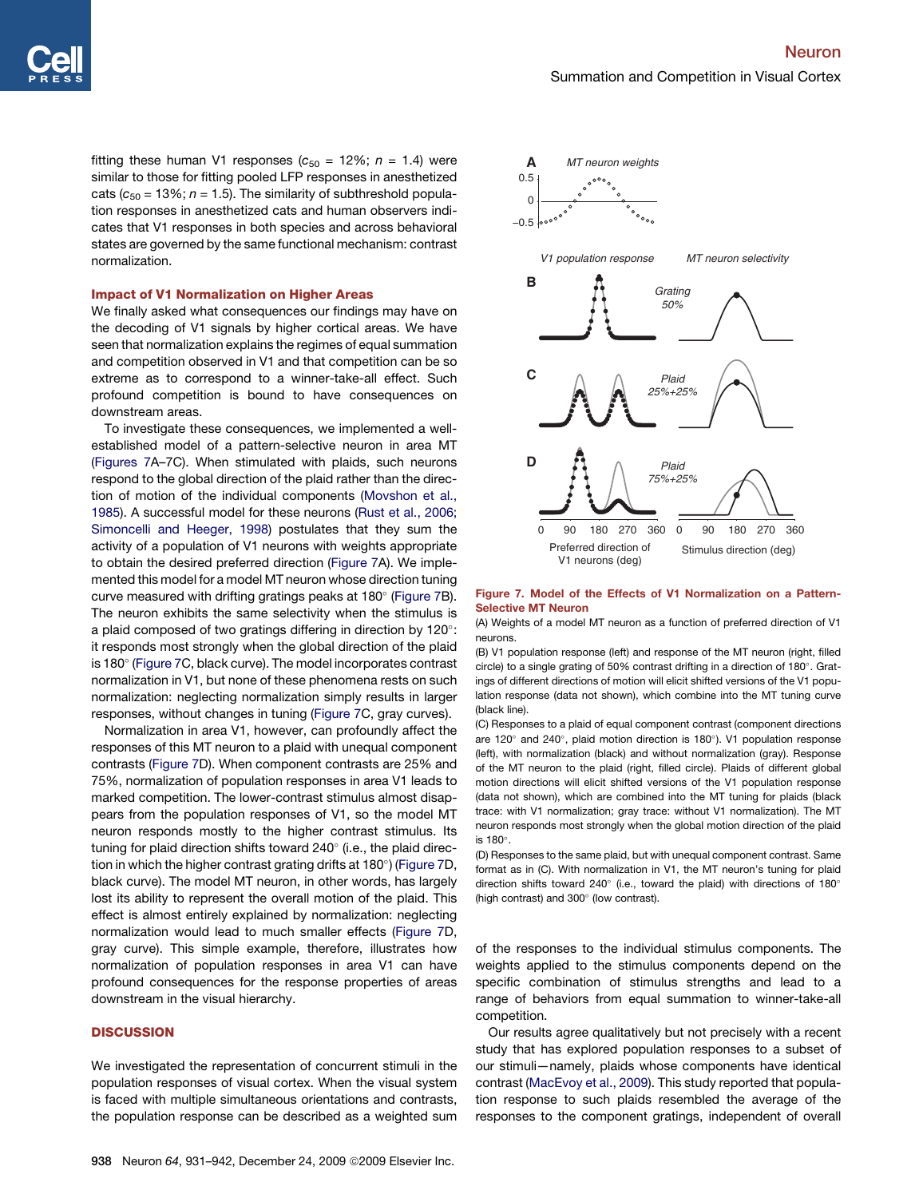fitting these human V1 responses ( $c_{50}$  = 12%;  $n = 1.4$ ) were similar to those for fitting pooled LFP responses in anesthetized cats  $(c_{50} = 13\%; n = 1.5)$ . The similarity of subthreshold population responses in anesthetized cats and human observers indicates that V1 responses in both species and across behavioral states are governed by the same functional mechanism: contrast normalization.

# Impact of V1 Normalization on Higher Areas

We finally asked what consequences our findings may have on the decoding of V1 signals by higher cortical areas. We have seen that normalization explains the regimes of equal summation and competition observed in V1 and that competition can be so extreme as to correspond to a winner-take-all effect. Such profound competition is bound to have consequences on downstream areas.

To investigate these consequences, we implemented a wellestablished model of a pattern-selective neuron in area MT (Figures 7A–7C). When stimulated with plaids, such neurons respond to the global direction of the plaid rather than the direction of motion of the individual components ([Movshon et al.,](#page-11-0) [1985](#page-11-0)). A successful model for these neurons [\(Rust et al., 2006;](#page-11-0) [Simoncelli and Heeger, 1998](#page-11-0)) postulates that they sum the activity of a population of V1 neurons with weights appropriate to obtain the desired preferred direction (Figure 7A). We implemented this model for a model MT neuron whose direction tuning curve measured with drifting gratings peaks at 180 $^{\circ}$  (Figure 7B). The neuron exhibits the same selectivity when the stimulus is a plaid composed of two gratings differing in direction by 120 $^{\circ}$ : it responds most strongly when the global direction of the plaid is 180 $^{\circ}$  (Figure 7C, black curve). The model incorporates contrast normalization in V1, but none of these phenomena rests on such normalization: neglecting normalization simply results in larger responses, without changes in tuning (Figure 7C, gray curves).

Normalization in area V1, however, can profoundly affect the responses of this MT neuron to a plaid with unequal component contrasts (Figure 7D). When component contrasts are 25% and 75%, normalization of population responses in area V1 leads to marked competition. The lower-contrast stimulus almost disappears from the population responses of V1, so the model MT neuron responds mostly to the higher contrast stimulus. Its tuning for plaid direction shifts toward 240° (i.e., the plaid direction in which the higher contrast grating drifts at 180°) (Figure 7D, black curve). The model MT neuron, in other words, has largely lost its ability to represent the overall motion of the plaid. This effect is almost entirely explained by normalization: neglecting normalization would lead to much smaller effects (Figure 7D, gray curve). This simple example, therefore, illustrates how normalization of population responses in area V1 can have profound consequences for the response properties of areas downstream in the visual hierarchy.

# **DISCUSSION**

We investigated the representation of concurrent stimuli in the population responses of visual cortex. When the visual system is faced with multiple simultaneous orientations and contrasts, the population response can be described as a weighted sum



#### Figure 7. Model of the Effects of V1 Normalization on a Pattern-Selective MT Neuron

(A) Weights of a model MT neuron as a function of preferred direction of V1 neurons.

(B) V1 population response (left) and response of the MT neuron (right, filled circle) to a single grating of 50% contrast drifting in a direction of 180 $^{\circ}$ . Gratings of different directions of motion will elicit shifted versions of the V1 population response (data not shown), which combine into the MT tuning curve (black line).

(C) Responses to a plaid of equal component contrast (component directions are 120° and 240°, plaid motion direction is 180°). V1 population response (left), with normalization (black) and without normalization (gray). Response of the MT neuron to the plaid (right, filled circle). Plaids of different global motion directions will elicit shifted versions of the V1 population response (data not shown), which are combined into the MT tuning for plaids (black trace: with V1 normalization; gray trace: without V1 normalization). The MT neuron responds most strongly when the global motion direction of the plaid is 180°.

(D) Responses to the same plaid, but with unequal component contrast. Same format as in (C). With normalization in V1, the MT neuron's tuning for plaid direction shifts toward 240 $^{\circ}$  (i.e., toward the plaid) with directions of 180 $^{\circ}$ (high contrast) and 300° (low contrast).

of the responses to the individual stimulus components. The weights applied to the stimulus components depend on the specific combination of stimulus strengths and lead to a range of behaviors from equal summation to winner-take-all competition.

Our results agree qualitatively but not precisely with a recent study that has explored population responses to a subset of our stimuli—namely, plaids whose components have identical contrast ([MacEvoy et al., 2009\)](#page-10-0). This study reported that population response to such plaids resembled the average of the responses to the component gratings, independent of overall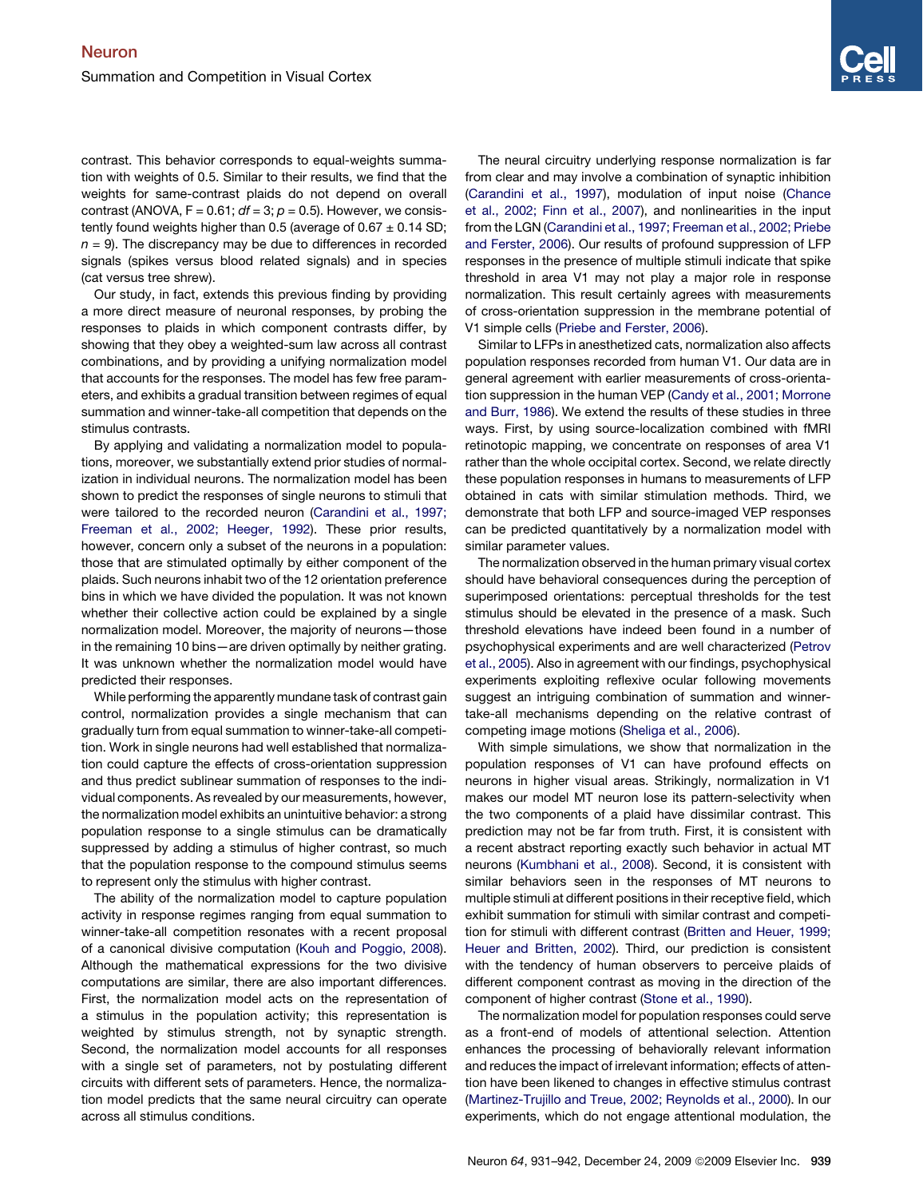contrast. This behavior corresponds to equal-weights summation with weights of 0.5. Similar to their results, we find that the weights for same-contrast plaids do not depend on overall contrast (ANOVA,  $F = 0.61$ ;  $df = 3$ ;  $p = 0.5$ ). However, we consistently found weights higher than 0.5 (average of  $0.67 \pm 0.14$  SD;  $n = 9$ ). The discrepancy may be due to differences in recorded signals (spikes versus blood related signals) and in species (cat versus tree shrew).

Our study, in fact, extends this previous finding by providing a more direct measure of neuronal responses, by probing the responses to plaids in which component contrasts differ, by showing that they obey a weighted-sum law across all contrast combinations, and by providing a unifying normalization model that accounts for the responses. The model has few free parameters, and exhibits a gradual transition between regimes of equal summation and winner-take-all competition that depends on the stimulus contrasts.

By applying and validating a normalization model to populations, moreover, we substantially extend prior studies of normalization in individual neurons. The normalization model has been shown to predict the responses of single neurons to stimuli that were tailored to the recorded neuron ([Carandini et al., 1997;](#page-10-0) [Freeman et al., 2002; Heeger, 1992\)](#page-10-0). These prior results, however, concern only a subset of the neurons in a population: those that are stimulated optimally by either component of the plaids. Such neurons inhabit two of the 12 orientation preference bins in which we have divided the population. It was not known whether their collective action could be explained by a single normalization model. Moreover, the majority of neurons—those in the remaining 10 bins—are driven optimally by neither grating. It was unknown whether the normalization model would have predicted their responses.

While performing the apparently mundane task of contrast gain control, normalization provides a single mechanism that can gradually turn from equal summation to winner-take-all competition. Work in single neurons had well established that normalization could capture the effects of cross-orientation suppression and thus predict sublinear summation of responses to the individual components. As revealed by our measurements, however, the normalization model exhibits an unintuitive behavior: a strong population response to a single stimulus can be dramatically suppressed by adding a stimulus of higher contrast, so much that the population response to the compound stimulus seems to represent only the stimulus with higher contrast.

The ability of the normalization model to capture population activity in response regimes ranging from equal summation to winner-take-all competition resonates with a recent proposal of a canonical divisive computation ([Kouh and Poggio, 2008\)](#page-10-0). Although the mathematical expressions for the two divisive computations are similar, there are also important differences. First, the normalization model acts on the representation of a stimulus in the population activity; this representation is weighted by stimulus strength, not by synaptic strength. Second, the normalization model accounts for all responses with a single set of parameters, not by postulating different circuits with different sets of parameters. Hence, the normalization model predicts that the same neural circuitry can operate across all stimulus conditions.

The neural circuitry underlying response normalization is far from clear and may involve a combination of synaptic inhibition [\(Carandini et al., 1997](#page-10-0)), modulation of input noise [\(Chance](#page-10-0) [et al., 2002; Finn et al., 2007\)](#page-10-0), and nonlinearities in the input from the LGN ([Carandini et al., 1997; Freeman et al., 2002; Priebe](#page-10-0) [and Ferster, 2006](#page-10-0)). Our results of profound suppression of LFP responses in the presence of multiple stimuli indicate that spike threshold in area V1 may not play a major role in response normalization. This result certainly agrees with measurements of cross-orientation suppression in the membrane potential of V1 simple cells [\(Priebe and Ferster, 2006\)](#page-11-0).

Similar to LFPs in anesthetized cats, normalization also affects population responses recorded from human V1. Our data are in general agreement with earlier measurements of cross-orientation suppression in the human VEP ([Candy et al., 2001; Morrone](#page-10-0) [and Burr, 1986\)](#page-10-0). We extend the results of these studies in three ways. First, by using source-localization combined with fMRI retinotopic mapping, we concentrate on responses of area V1 rather than the whole occipital cortex. Second, we relate directly these population responses in humans to measurements of LFP obtained in cats with similar stimulation methods. Third, we demonstrate that both LFP and source-imaged VEP responses can be predicted quantitatively by a normalization model with similar parameter values.

The normalization observed in the human primary visual cortex should have behavioral consequences during the perception of superimposed orientations: perceptual thresholds for the test stimulus should be elevated in the presence of a mask. Such threshold elevations have indeed been found in a number of psychophysical experiments and are well characterized ([Petrov](#page-11-0) [et al., 2005\)](#page-11-0). Also in agreement with our findings, psychophysical experiments exploiting reflexive ocular following movements suggest an intriguing combination of summation and winnertake-all mechanisms depending on the relative contrast of competing image motions [\(Sheliga et al., 2006](#page-11-0)).

With simple simulations, we show that normalization in the population responses of V1 can have profound effects on neurons in higher visual areas. Strikingly, normalization in V1 makes our model MT neuron lose its pattern-selectivity when the two components of a plaid have dissimilar contrast. This prediction may not be far from truth. First, it is consistent with a recent abstract reporting exactly such behavior in actual MT neurons [\(Kumbhani et al., 2008](#page-10-0)). Second, it is consistent with similar behaviors seen in the responses of MT neurons to multiple stimuli at different positions in their receptive field, which exhibit summation for stimuli with similar contrast and competition for stimuli with different contrast [\(Britten and Heuer, 1999;](#page-10-0) Heuer and [Britten, 2002](#page-10-0)). Third, our prediction is consistent with the tendency of human observers to perceive plaids of different component contrast as moving in the direction of the component of higher contrast ([Stone et al., 1990](#page-11-0)).

The normalization model for population responses could serve as a front-end of models of attentional selection. Attention enhances the processing of behaviorally relevant information and reduces the impact of irrelevant information; effects of attention have been likened to changes in effective stimulus contrast [\(Martinez-Trujillo and Treue, 2002; Reynolds et al., 2000\)](#page-10-0). In our experiments, which do not engage attentional modulation, the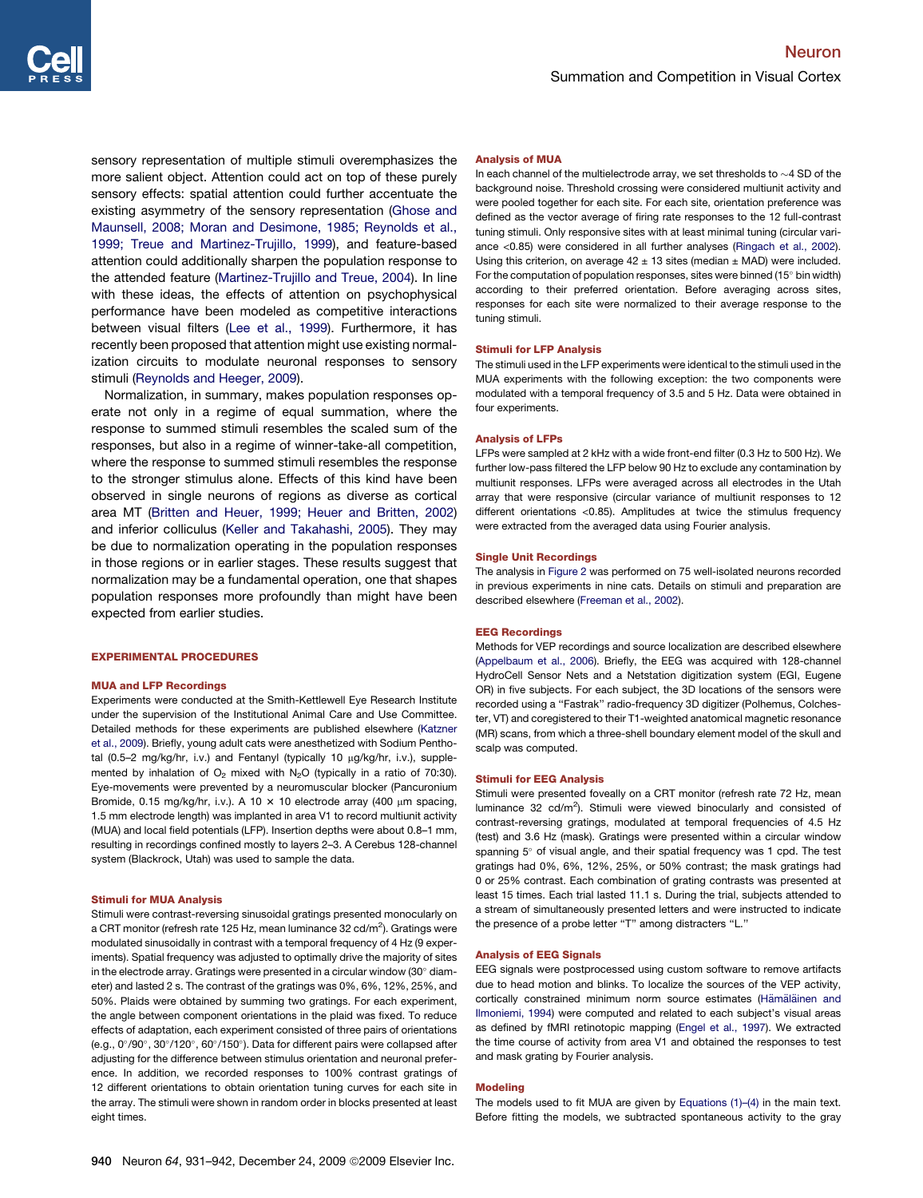sensory representation of multiple stimuli overemphasizes the more salient object. Attention could act on top of these purely sensory effects: spatial attention could further accentuate the existing asymmetry of the sensory representation [\(Ghose and](#page-10-0) [Maunsell, 2008; Moran and Desimone, 1985; Reynolds et al.,](#page-10-0) [1999; Treue and Martinez-Trujillo, 1999](#page-10-0)), and feature-based attention could additionally sharpen the population response to the attended feature ([Martinez-Trujillo and Treue, 2004\)](#page-11-0). In line with these ideas, the effects of attention on psychophysical performance have been modeled as competitive interactions between visual filters ([Lee et al., 1999](#page-10-0)). Furthermore, it has recently been proposed that attention might use existing normalization circuits to modulate neuronal responses to sensory stimuli ([Reynolds and Heeger, 2009](#page-11-0)).

Normalization, in summary, makes population responses operate not only in a regime of equal summation, where the response to summed stimuli resembles the scaled sum of the responses, but also in a regime of winner-take-all competition, where the response to summed stimuli resembles the response to the stronger stimulus alone. Effects of this kind have been observed in single neurons of regions as diverse as cortical area MT [\(Britten and Heuer, 1999; Heuer and Britten, 2002\)](#page-10-0) and inferior colliculus ([Keller and Takahashi, 2005](#page-10-0)). They may be due to normalization operating in the population responses in those regions or in earlier stages. These results suggest that normalization may be a fundamental operation, one that shapes population responses more profoundly than might have been expected from earlier studies.

### EXPERIMENTAL PROCEDURES

#### MUA and LFP Recordings

Experiments were conducted at the Smith-Kettlewell Eye Research Institute under the supervision of the Institutional Animal Care and Use Committee. Detailed methods for these experiments are published elsewhere ([Katzner](#page-10-0) [et al., 2009\)](#page-10-0). Briefly, young adult cats were anesthetized with Sodium Penthotal (0.5-2 mg/kg/hr, i.v.) and Fentanyl (typically 10 µg/kg/hr, i.v.), supplemented by inhalation of  $O_2$  mixed with N<sub>2</sub>O (typically in a ratio of 70:30). Eye-movements were prevented by a neuromuscular blocker (Pancuronium Bromide, 0.15 mg/kg/hr, i.v.). A 10  $\times$  10 electrode array (400 µm spacing, 1.5 mm electrode length) was implanted in area V1 to record multiunit activity (MUA) and local field potentials (LFP). Insertion depths were about 0.8–1 mm, resulting in recordings confined mostly to layers 2–3. A Cerebus 128-channel system (Blackrock, Utah) was used to sample the data.

## Stimuli for MUA Analysis

Stimuli were contrast-reversing sinusoidal gratings presented monocularly on a CRT monitor (refresh rate 125 Hz, mean luminance 32 cd/m<sup>2</sup>). Gratings were modulated sinusoidally in contrast with a temporal frequency of 4 Hz (9 experiments). Spatial frequency was adjusted to optimally drive the majority of sites in the electrode array. Gratings were presented in a circular window (30 $^{\circ}$  diameter) and lasted 2 s. The contrast of the gratings was 0%, 6%, 12%, 25%, and 50%. Plaids were obtained by summing two gratings. For each experiment, the angle between component orientations in the plaid was fixed. To reduce effects of adaptation, each experiment consisted of three pairs of orientations (e.g., 0°/90°, 30°/120°, 60°/150°). Data for different pairs were collapsed after adjusting for the difference between stimulus orientation and neuronal preference. In addition, we recorded responses to 100% contrast gratings of 12 different orientations to obtain orientation tuning curves for each site in the array. The stimuli were shown in random order in blocks presented at least eight times.

#### Analysis of MUA

In each channel of the multielectrode array, we set thresholds to  $\sim$  4 SD of the background noise. Threshold crossing were considered multiunit activity and were pooled together for each site. For each site, orientation preference was defined as the vector average of firing rate responses to the 12 full-contrast tuning stimuli. Only responsive sites with at least minimal tuning (circular variance <0.85) were considered in all further analyses ([Ringach et al., 2002](#page-11-0)). Using this criterion, on average  $42 \pm 13$  sites (median  $\pm$  MAD) were included. For the computation of population responses, sites were binned (15 $\textdegree$  bin width) according to their preferred orientation. Before averaging across sites, responses for each site were normalized to their average response to the tuning stimuli.

#### Stimuli for LFP Analysis

The stimuli used in the LFP experiments were identical to the stimuli used in the MUA experiments with the following exception: the two components were modulated with a temporal frequency of 3.5 and 5 Hz. Data were obtained in four experiments.

#### Analysis of LFPs

LFPs were sampled at 2 kHz with a wide front-end filter (0.3 Hz to 500 Hz). We further low-pass filtered the LFP below 90 Hz to exclude any contamination by multiunit responses. LFPs were averaged across all electrodes in the Utah array that were responsive (circular variance of multiunit responses to 12 different orientations <0.85). Amplitudes at twice the stimulus frequency were extracted from the averaged data using Fourier analysis.

#### Single Unit Recordings

The analysis in [Figure 2](#page-2-0) was performed on 75 well-isolated neurons recorded in previous experiments in nine cats. Details on stimuli and preparation are described elsewhere [\(Freeman et al., 2002](#page-10-0)).

#### EEG Recordings

Methods for VEP recordings and source localization are described elsewhere ([Appelbaum et al., 2006](#page-10-0)). Briefly, the EEG was acquired with 128-channel HydroCell Sensor Nets and a Netstation digitization system (EGI, Eugene OR) in five subjects. For each subject, the 3D locations of the sensors were recorded using a ''Fastrak'' radio-frequency 3D digitizer (Polhemus, Colchester, VT) and coregistered to their T1-weighted anatomical magnetic resonance (MR) scans, from which a three-shell boundary element model of the skull and scalp was computed.

#### Stimuli for EEG Analysis

Stimuli were presented foveally on a CRT monitor (refresh rate 72 Hz, mean luminance 32  $cd/m^2$ ). Stimuli were viewed binocularly and consisted of contrast-reversing gratings, modulated at temporal frequencies of 4.5 Hz (test) and 3.6 Hz (mask). Gratings were presented within a circular window spanning 5° of visual angle, and their spatial frequency was 1 cpd. The test gratings had 0%, 6%, 12%, 25%, or 50% contrast; the mask gratings had 0 or 25% contrast. Each combination of grating contrasts was presented at least 15 times. Each trial lasted 11.1 s. During the trial, subjects attended to a stream of simultaneously presented letters and were instructed to indicate the presence of a probe letter "T" among distracters "L.'

#### Analysis of EEG Signals

EEG signals were postprocessed using custom software to remove artifacts due to head motion and blinks. To localize the sources of the VEP activity, cortically constrained minimum norm source estimates (Hämälä[inen and](#page-10-0) [Ilmoniemi, 1994\)](#page-10-0) were computed and related to each subject's visual areas as defined by fMRI retinotopic mapping ([Engel et al., 1997](#page-10-0)). We extracted the time course of activity from area V1 and obtained the responses to test and mask grating by Fourier analysis.

### Modeling

The models used to fit MUA are given by [Equations \(1\)–\(4\)](#page-1-0) in the main text. Before fitting the models, we subtracted spontaneous activity to the gray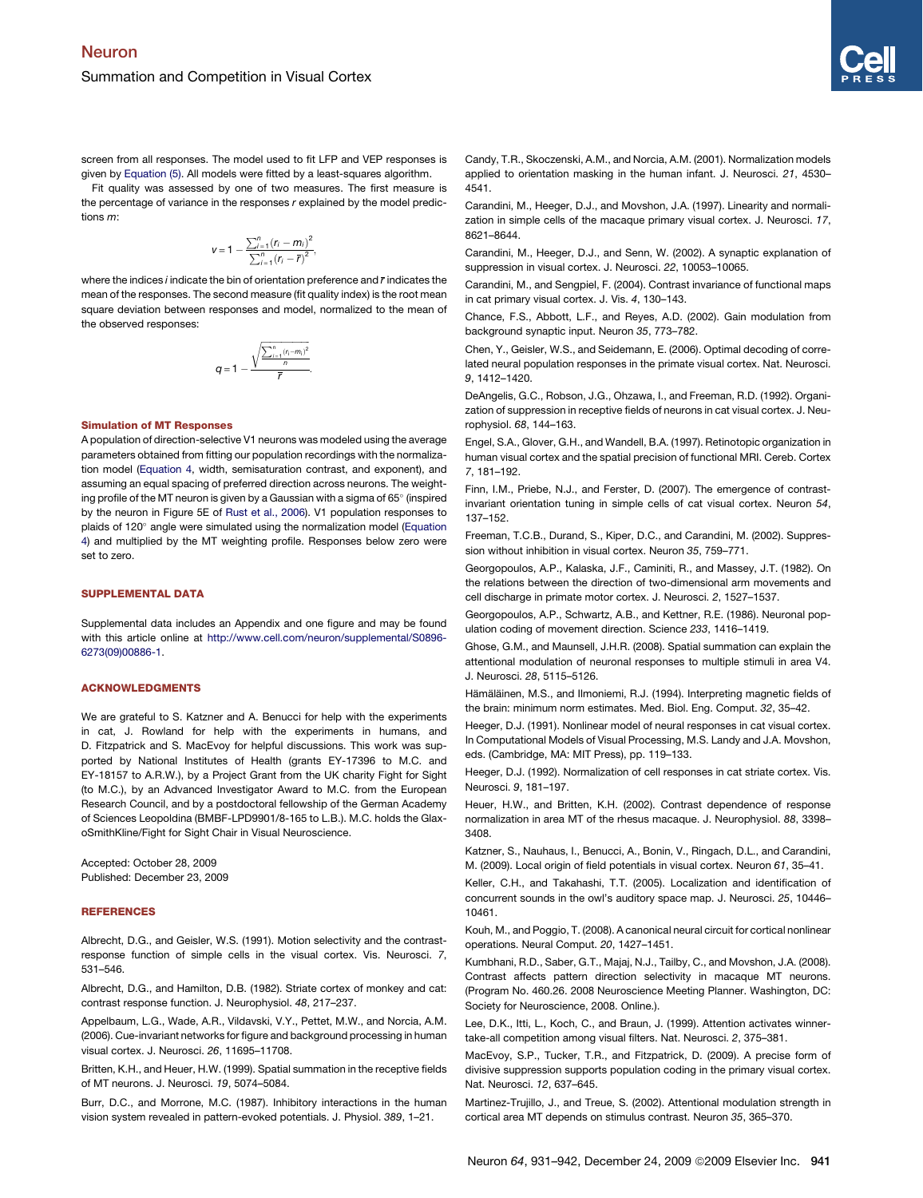<span id="page-10-0"></span>screen from all responses. The model used to fit LFP and VEP responses is given by [Equation \(5\)](#page-5-0). All models were fitted by a least-squares algorithm.

Fit quality was assessed by one of two measures. The first measure is the percentage of variance in the responses *r* explained by the model predictions *m*:

$$
v = 1 - \frac{\sum_{i=1}^{n} (r_i - m_i)^2}{\sum_{i=1}^{n} (r_i - \overline{r})^2},
$$

where the indices *i* indicate the bin of orientation preference and *r* indicates the mean of the responses. The second measure (fit quality index) is the root mean square deviation between responses and model, normalized to the mean of the observed responses:

$$
q = 1 - \frac{\sqrt{\frac{\sum_{i=1}^{n} (r_i - m_i)^2}{n}}}{\overline{r}}.
$$

#### Simulation of MT Responses

A population of direction-selective V1 neurons was modeled using the average parameters obtained from fitting our population recordings with the normalization model [\(Equation 4](#page-4-0), width, semisaturation contrast, and exponent), and assuming an equal spacing of preferred direction across neurons. The weighting profile of the MT neuron is given by a Gaussian with a sigma of 65 $^{\circ}$  (inspired by the neuron in Figure 5E of [Rust et al., 2006](#page-11-0)). V1 population responses to plaids of 120° angle were simulated using the normalization model ([Equation](#page-4-0) [4\)](#page-4-0) and multiplied by the MT weighting profile. Responses below zero were set to zero.

#### SUPPLEMENTAL DATA

Supplemental data includes an Appendix and one figure and may be found with this article online at [http://www.cell.com/neuron/supplemental/S0896-](http://www.cell.com/neuron/supplemental/S0896-6273(09)00886-1) [6273\(09\)00886-1.](http://www.cell.com/neuron/supplemental/S0896-6273(09)00886-1)

### ACKNOWLEDGMENTS

We are grateful to S. Katzner and A. Benucci for help with the experiments in cat, J. Rowland for help with the experiments in humans, and D. Fitzpatrick and S. MacEvoy for helpful discussions. This work was supported by National Institutes of Health (grants EY-17396 to M.C. and EY-18157 to A.R.W.), by a Project Grant from the UK charity Fight for Sight (to M.C.), by an Advanced Investigator Award to M.C. from the European Research Council, and by a postdoctoral fellowship of the German Academy of Sciences Leopoldina (BMBF-LPD9901/8-165 to L.B.). M.C. holds the GlaxoSmithKline/Fight for Sight Chair in Visual Neuroscience.

Accepted: October 28, 2009 Published: December 23, 2009

#### **REFERENCES**

Albrecht, D.G., and Geisler, W.S. (1991). Motion selectivity and the contrastresponse function of simple cells in the visual cortex. Vis. Neurosci. *7*, 531–546.

Albrecht, D.G., and Hamilton, D.B. (1982). Striate cortex of monkey and cat: contrast response function. J. Neurophysiol. *48*, 217–237.

Appelbaum, L.G., Wade, A.R., Vildavski, V.Y., Pettet, M.W., and Norcia, A.M. (2006). Cue-invariant networks for figure and background processing in human visual cortex. J. Neurosci. *26*, 11695–11708.

Britten, K.H., and Heuer, H.W. (1999). Spatial summation in the receptive fields of MT neurons. J. Neurosci. *19*, 5074–5084.

Burr, D.C., and Morrone, M.C. (1987). Inhibitory interactions in the human vision system revealed in pattern-evoked potentials. J. Physiol. *389*, 1–21.

Candy, T.R., Skoczenski, A.M., and Norcia, A.M. (2001). Normalization models applied to orientation masking in the human infant. J. Neurosci. *21*, 4530– 4541.

Carandini, M., Heeger, D.J., and Movshon, J.A. (1997). Linearity and normalization in simple cells of the macaque primary visual cortex. J. Neurosci. *17*, 8621–8644.

Carandini, M., Heeger, D.J., and Senn, W. (2002). A synaptic explanation of suppression in visual cortex. J. Neurosci. *22*, 10053–10065.

Carandini, M., and Sengpiel, F. (2004). Contrast invariance of functional maps in cat primary visual cortex. J. Vis. *4*, 130–143.

Chance, F.S., Abbott, L.F., and Reyes, A.D. (2002). Gain modulation from background synaptic input. Neuron *35*, 773–782.

Chen, Y., Geisler, W.S., and Seidemann, E. (2006). Optimal decoding of correlated neural population responses in the primate visual cortex. Nat. Neurosci. *9*, 1412–1420.

DeAngelis, G.C., Robson, J.G., Ohzawa, I., and Freeman, R.D. (1992). Organization of suppression in receptive fields of neurons in cat visual cortex. J. Neurophysiol. *68*, 144–163.

Engel, S.A., Glover, G.H., and Wandell, B.A. (1997). Retinotopic organization in human visual cortex and the spatial precision of functional MRI. Cereb. Cortex *7*, 181–192.

Finn, I.M., Priebe, N.J., and Ferster, D. (2007). The emergence of contrastinvariant orientation tuning in simple cells of cat visual cortex. Neuron *54*, 137–152.

Freeman, T.C.B., Durand, S., Kiper, D.C., and Carandini, M. (2002). Suppression without inhibition in visual cortex. Neuron *35*, 759–771.

Georgopoulos, A.P., Kalaska, J.F., Caminiti, R., and Massey, J.T. (1982). On the relations between the direction of two-dimensional arm movements and cell discharge in primate motor cortex. J. Neurosci. *2*, 1527–1537.

Georgopoulos, A.P., Schwartz, A.B., and Kettner, R.E. (1986). Neuronal population coding of movement direction. Science *233*, 1416–1419.

Ghose, G.M., and Maunsell, J.H.R. (2008). Spatial summation can explain the attentional modulation of neuronal responses to multiple stimuli in area V4. J. Neurosci. *28*, 5115–5126.

Hämäläinen, M.S., and Ilmoniemi, R.J. (1994). Interpreting magnetic fields of the brain: minimum norm estimates. Med. Biol. Eng. Comput. *32*, 35–42.

Heeger, D.J. (1991). Nonlinear model of neural responses in cat visual cortex. In Computational Models of Visual Processing, M.S. Landy and J.A. Movshon, eds. (Cambridge, MA: MIT Press), pp. 119–133.

Heeger, D.J. (1992). Normalization of cell responses in cat striate cortex. Vis. Neurosci. *9*, 181–197.

Heuer, H.W., and Britten, K.H. (2002). Contrast dependence of response normalization in area MT of the rhesus macaque. J. Neurophysiol. *88*, 3398– 3408.

Katzner, S., Nauhaus, I., Benucci, A., Bonin, V., Ringach, D.L., and Carandini, M. (2009). Local origin of field potentials in visual cortex. Neuron *61*, 35–41.

Keller, C.H., and Takahashi, T.T. (2005). Localization and identification of concurrent sounds in the owl's auditory space map. J. Neurosci. *25*, 10446– 10461.

Kouh, M., and Poggio, T. (2008). A canonical neural circuit for cortical nonlinear operations. Neural Comput. *20*, 1427–1451.

Kumbhani, R.D., Saber, G.T., Majaj, N.J., Tailby, C., and Movshon, J.A. (2008). Contrast affects pattern direction selectivity in macaque MT neurons. (Program No. 460.26. 2008 Neuroscience Meeting Planner. Washington, DC: Society for Neuroscience, 2008. Online.).

Lee, D.K., Itti, L., Koch, C., and Braun, J. (1999). Attention activates winnertake-all competition among visual filters. Nat. Neurosci. *2*, 375–381.

MacEvoy, S.P., Tucker, T.R., and Fitzpatrick, D. (2009). A precise form of divisive suppression supports population coding in the primary visual cortex. Nat. Neurosci. *12*, 637–645.

Martinez-Trujillo, J., and Treue, S. (2002). Attentional modulation strength in cortical area MT depends on stimulus contrast. Neuron *35*, 365–370.